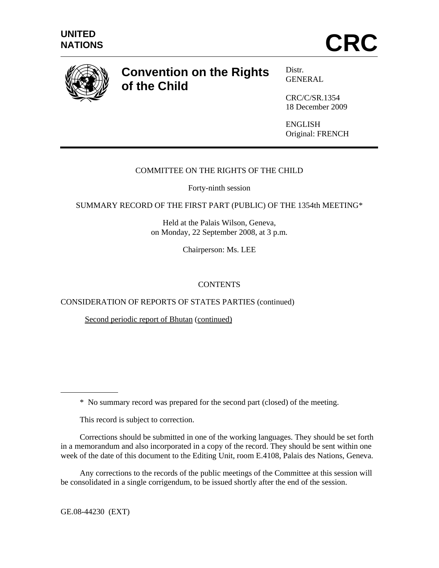

# **Convention on the Rights of the Child**

Distr*.*  GENERAL

CRC/C/SR.1354 18 December 2009

ENGLISH Original: FRENCH

## COMMITTEE ON THE RIGHTS OF THE CHILD

Forty-ninth session

SUMMARY RECORD OF THE FIRST PART (PUBLIC) OF THE 1354th MEETING\*

Held at the Palais Wilson, Geneva, on Monday, 22 September 2008, at 3 p.m.

Chairperson: Ms. LEE

## **CONTENTS**

CONSIDERATION OF REPORTS OF STATES PARTIES (continued)

Second periodic report of Bhutan (continued)

\* No summary record was prepared for the second part (closed) of the meeting.

This record is subject to correction.

Corrections should be submitted in one of the working languages. They should be set forth in a memorandum and also incorporated in a copy of the record. They should be sent within one week of the date of this document to the Editing Unit, room E.4108, Palais des Nations, Geneva.

 Any corrections to the records of the public meetings of the Committee at this session will be consolidated in a single corrigendum, to be issued shortly after the end of the session.

GE.08-44230 (EXT)

 $\overline{a}$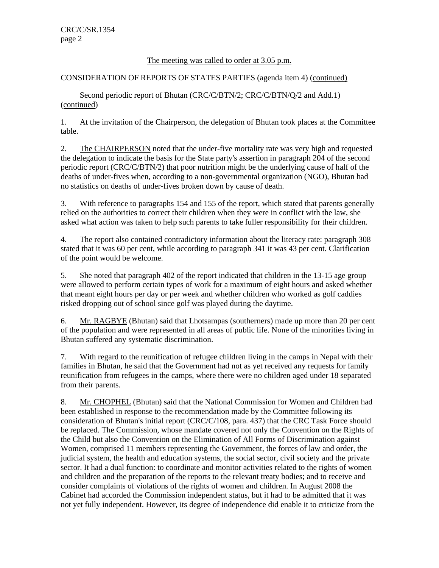#### The meeting was called to order at 3.05 p.m.

#### CONSIDERATION OF REPORTS OF STATES PARTIES (agenda item 4) (continued)

Second periodic report of Bhutan (CRC/C/BTN/2; CRC/C/BTN/Q/2 and Add.1) (continued)

1. At the invitation of the Chairperson, the delegation of Bhutan took places at the Committee table.

2. The CHAIRPERSON noted that the under-five mortality rate was very high and requested the delegation to indicate the basis for the State party's assertion in paragraph 204 of the second periodic report (CRC/C/BTN/2) that poor nutrition might be the underlying cause of half of the deaths of under-fives when, according to a non-governmental organization (NGO), Bhutan had no statistics on deaths of under-fives broken down by cause of death.

3. With reference to paragraphs 154 and 155 of the report, which stated that parents generally relied on the authorities to correct their children when they were in conflict with the law, she asked what action was taken to help such parents to take fuller responsibility for their children.

4. The report also contained contradictory information about the literacy rate: paragraph 308 stated that it was 60 per cent, while according to paragraph 341 it was 43 per cent. Clarification of the point would be welcome.

5. She noted that paragraph 402 of the report indicated that children in the 13-15 age group were allowed to perform certain types of work for a maximum of eight hours and asked whether that meant eight hours per day or per week and whether children who worked as golf caddies risked dropping out of school since golf was played during the daytime.

6. Mr. RAGBYE (Bhutan) said that Lhotsampas (southerners) made up more than 20 per cent of the population and were represented in all areas of public life. None of the minorities living in Bhutan suffered any systematic discrimination.

7. With regard to the reunification of refugee children living in the camps in Nepal with their families in Bhutan, he said that the Government had not as yet received any requests for family reunification from refugees in the camps, where there were no children aged under 18 separated from their parents.

8. Mr. CHOPHEL (Bhutan) said that the National Commission for Women and Children had been established in response to the recommendation made by the Committee following its consideration of Bhutan's initial report (CRC/C/108, para. 437) that the CRC Task Force should be replaced. The Commission, whose mandate covered not only the Convention on the Rights of the Child but also the Convention on the Elimination of All Forms of Discrimination against Women, comprised 11 members representing the Government, the forces of law and order, the judicial system, the health and education systems, the social sector, civil society and the private sector. It had a dual function: to coordinate and monitor activities related to the rights of women and children and the preparation of the reports to the relevant treaty bodies; and to receive and consider complaints of violations of the rights of women and children. In August 2008 the Cabinet had accorded the Commission independent status, but it had to be admitted that it was not yet fully independent. However, its degree of independence did enable it to criticize from the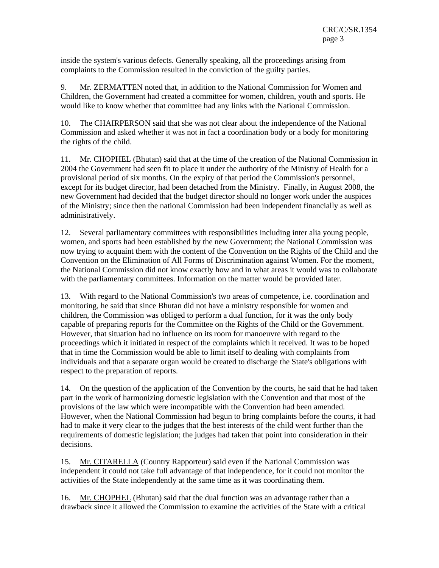inside the system's various defects. Generally speaking, all the proceedings arising from complaints to the Commission resulted in the conviction of the guilty parties.

9. Mr. ZERMATTEN noted that, in addition to the National Commission for Women and Children, the Government had created a committee for women, children, youth and sports. He would like to know whether that committee had any links with the National Commission.

10. The CHAIRPERSON said that she was not clear about the independence of the National Commission and asked whether it was not in fact a coordination body or a body for monitoring the rights of the child.

11. Mr. CHOPHEL (Bhutan) said that at the time of the creation of the National Commission in 2004 the Government had seen fit to place it under the authority of the Ministry of Health for a provisional period of six months. On the expiry of that period the Commission's personnel, except for its budget director, had been detached from the Ministry. Finally, in August 2008, the new Government had decided that the budget director should no longer work under the auspices of the Ministry; since then the national Commission had been independent financially as well as administratively.

12. Several parliamentary committees with responsibilities including inter alia young people, women, and sports had been established by the new Government; the National Commission was now trying to acquaint them with the content of the Convention on the Rights of the Child and the Convention on the Elimination of All Forms of Discrimination against Women. For the moment, the National Commission did not know exactly how and in what areas it would was to collaborate with the parliamentary committees. Information on the matter would be provided later.

13. With regard to the National Commission's two areas of competence, i.e. coordination and monitoring, he said that since Bhutan did not have a ministry responsible for women and children, the Commission was obliged to perform a dual function, for it was the only body capable of preparing reports for the Committee on the Rights of the Child or the Government. However, that situation had no influence on its room for manoeuvre with regard to the proceedings which it initiated in respect of the complaints which it received. It was to be hoped that in time the Commission would be able to limit itself to dealing with complaints from individuals and that a separate organ would be created to discharge the State's obligations with respect to the preparation of reports.

14. On the question of the application of the Convention by the courts, he said that he had taken part in the work of harmonizing domestic legislation with the Convention and that most of the provisions of the law which were incompatible with the Convention had been amended. However, when the National Commission had begun to bring complaints before the courts, it had had to make it very clear to the judges that the best interests of the child went further than the requirements of domestic legislation; the judges had taken that point into consideration in their decisions.

15. Mr. CITARELLA (Country Rapporteur) said even if the National Commission was independent it could not take full advantage of that independence, for it could not monitor the activities of the State independently at the same time as it was coordinating them.

16. Mr. CHOPHEL (Bhutan) said that the dual function was an advantage rather than a drawback since it allowed the Commission to examine the activities of the State with a critical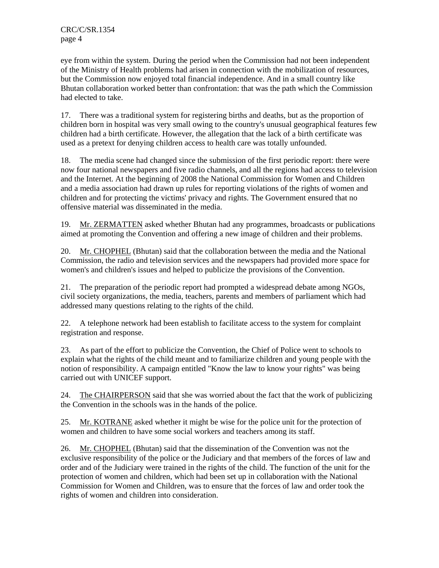eye from within the system. During the period when the Commission had not been independent of the Ministry of Health problems had arisen in connection with the mobilization of resources, but the Commission now enjoyed total financial independence. And in a small country like Bhutan collaboration worked better than confrontation: that was the path which the Commission had elected to take.

17. There was a traditional system for registering births and deaths, but as the proportion of children born in hospital was very small owing to the country's unusual geographical features few children had a birth certificate. However, the allegation that the lack of a birth certificate was used as a pretext for denying children access to health care was totally unfounded.

18. The media scene had changed since the submission of the first periodic report: there were now four national newspapers and five radio channels, and all the regions had access to television and the Internet. At the beginning of 2008 the National Commission for Women and Children and a media association had drawn up rules for reporting violations of the rights of women and children and for protecting the victims' privacy and rights. The Government ensured that no offensive material was disseminated in the media.

19. Mr. ZERMATTEN asked whether Bhutan had any programmes, broadcasts or publications aimed at promoting the Convention and offering a new image of children and their problems.

20. Mr. CHOPHEL (Bhutan) said that the collaboration between the media and the National Commission, the radio and television services and the newspapers had provided more space for women's and children's issues and helped to publicize the provisions of the Convention.

21. The preparation of the periodic report had prompted a widespread debate among NGOs, civil society organizations, the media, teachers, parents and members of parliament which had addressed many questions relating to the rights of the child.

22. A telephone network had been establish to facilitate access to the system for complaint registration and response.

23. As part of the effort to publicize the Convention, the Chief of Police went to schools to explain what the rights of the child meant and to familiarize children and young people with the notion of responsibility. A campaign entitled "Know the law to know your rights" was being carried out with UNICEF support.

24. The CHAIRPERSON said that she was worried about the fact that the work of publicizing the Convention in the schools was in the hands of the police.

25. Mr. KOTRANE asked whether it might be wise for the police unit for the protection of women and children to have some social workers and teachers among its staff.

26. Mr. CHOPHEL (Bhutan) said that the dissemination of the Convention was not the exclusive responsibility of the police or the Judiciary and that members of the forces of law and order and of the Judiciary were trained in the rights of the child. The function of the unit for the protection of women and children, which had been set up in collaboration with the National Commission for Women and Children, was to ensure that the forces of law and order took the rights of women and children into consideration.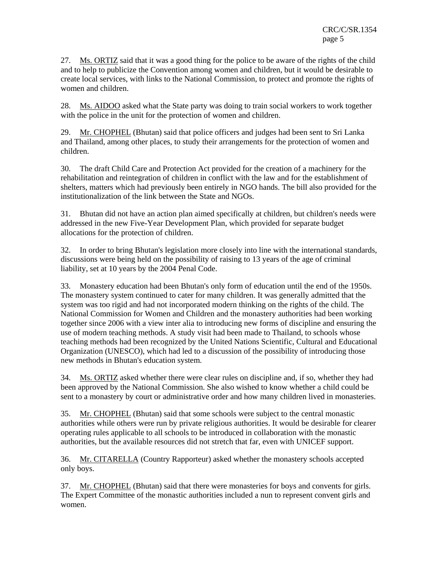27. Ms. ORTIZ said that it was a good thing for the police to be aware of the rights of the child and to help to publicize the Convention among women and children, but it would be desirable to create local services, with links to the National Commission, to protect and promote the rights of women and children.

28. Ms. AIDOO asked what the State party was doing to train social workers to work together with the police in the unit for the protection of women and children.

29. Mr. CHOPHEL (Bhutan) said that police officers and judges had been sent to Sri Lanka and Thailand, among other places, to study their arrangements for the protection of women and children.

30. The draft Child Care and Protection Act provided for the creation of a machinery for the rehabilitation and reintegration of children in conflict with the law and for the establishment of shelters, matters which had previously been entirely in NGO hands. The bill also provided for the institutionalization of the link between the State and NGOs.

31. Bhutan did not have an action plan aimed specifically at children, but children's needs were addressed in the new Five-Year Development Plan, which provided for separate budget allocations for the protection of children.

32. In order to bring Bhutan's legislation more closely into line with the international standards, discussions were being held on the possibility of raising to 13 years of the age of criminal liability, set at 10 years by the 2004 Penal Code.

33. Monastery education had been Bhutan's only form of education until the end of the 1950s. The monastery system continued to cater for many children. It was generally admitted that the system was too rigid and had not incorporated modern thinking on the rights of the child. The National Commission for Women and Children and the monastery authorities had been working together since 2006 with a view inter alia to introducing new forms of discipline and ensuring the use of modern teaching methods. A study visit had been made to Thailand, to schools whose teaching methods had been recognized by the United Nations Scientific, Cultural and Educational Organization (UNESCO), which had led to a discussion of the possibility of introducing those new methods in Bhutan's education system.

34. Ms. ORTIZ asked whether there were clear rules on discipline and, if so, whether they had been approved by the National Commission. She also wished to know whether a child could be sent to a monastery by court or administrative order and how many children lived in monasteries.

35. Mr. CHOPHEL (Bhutan) said that some schools were subject to the central monastic authorities while others were run by private religious authorities. It would be desirable for clearer operating rules applicable to all schools to be introduced in collaboration with the monastic authorities, but the available resources did not stretch that far, even with UNICEF support.

36. Mr. CITARELLA (Country Rapporteur) asked whether the monastery schools accepted only boys.

37. Mr. CHOPHEL (Bhutan) said that there were monasteries for boys and convents for girls. The Expert Committee of the monastic authorities included a nun to represent convent girls and women.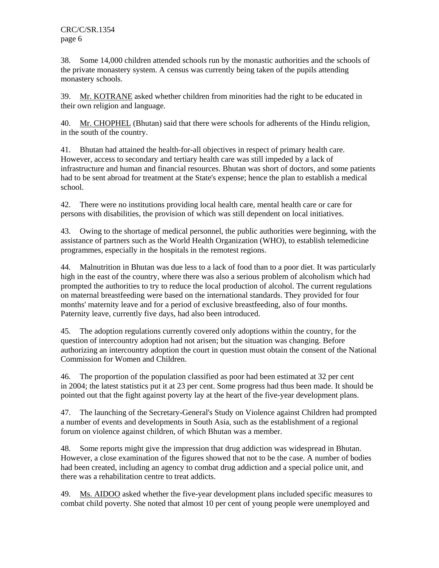38. Some 14,000 children attended schools run by the monastic authorities and the schools of the private monastery system. A census was currently being taken of the pupils attending monastery schools.

39. Mr. KOTRANE asked whether children from minorities had the right to be educated in their own religion and language.

40. Mr. CHOPHEL (Bhutan) said that there were schools for adherents of the Hindu religion, in the south of the country.

41. Bhutan had attained the health-for-all objectives in respect of primary health care. However, access to secondary and tertiary health care was still impeded by a lack of infrastructure and human and financial resources. Bhutan was short of doctors, and some patients had to be sent abroad for treatment at the State's expense; hence the plan to establish a medical school.

42. There were no institutions providing local health care, mental health care or care for persons with disabilities, the provision of which was still dependent on local initiatives.

43. Owing to the shortage of medical personnel, the public authorities were beginning, with the assistance of partners such as the World Health Organization (WHO), to establish telemedicine programmes, especially in the hospitals in the remotest regions.

44. Malnutrition in Bhutan was due less to a lack of food than to a poor diet. It was particularly high in the east of the country, where there was also a serious problem of alcoholism which had prompted the authorities to try to reduce the local production of alcohol. The current regulations on maternal breastfeeding were based on the international standards. They provided for four months' maternity leave and for a period of exclusive breastfeeding, also of four months. Paternity leave, currently five days, had also been introduced.

45. The adoption regulations currently covered only adoptions within the country, for the question of intercountry adoption had not arisen; but the situation was changing. Before authorizing an intercountry adoption the court in question must obtain the consent of the National Commission for Women and Children.

46. The proportion of the population classified as poor had been estimated at 32 per cent in 2004; the latest statistics put it at 23 per cent. Some progress had thus been made. It should be pointed out that the fight against poverty lay at the heart of the five-year development plans.

47. The launching of the Secretary-General's Study on Violence against Children had prompted a number of events and developments in South Asia, such as the establishment of a regional forum on violence against children, of which Bhutan was a member.

48. Some reports might give the impression that drug addiction was widespread in Bhutan. However, a close examination of the figures showed that not to be the case. A number of bodies had been created, including an agency to combat drug addiction and a special police unit, and there was a rehabilitation centre to treat addicts.

49. Ms. AIDOO asked whether the five-year development plans included specific measures to combat child poverty. She noted that almost 10 per cent of young people were unemployed and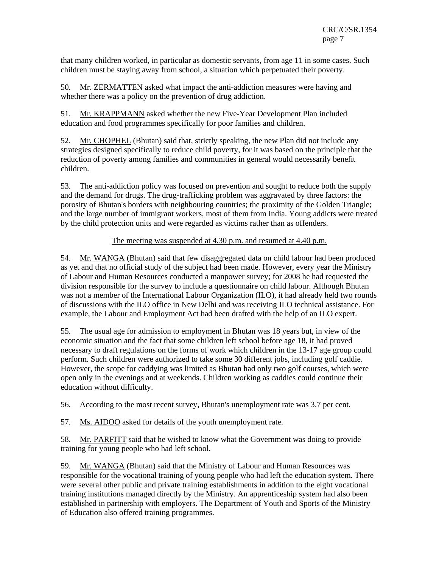that many children worked, in particular as domestic servants, from age 11 in some cases. Such children must be staying away from school, a situation which perpetuated their poverty.

50. Mr. ZERMATTEN asked what impact the anti-addiction measures were having and whether there was a policy on the prevention of drug addiction.

51. Mr. KRAPPMANN asked whether the new Five-Year Development Plan included education and food programmes specifically for poor families and children.

52. Mr. CHOPHEL (Bhutan) said that, strictly speaking, the new Plan did not include any strategies designed specifically to reduce child poverty, for it was based on the principle that the reduction of poverty among families and communities in general would necessarily benefit children.

53. The anti-addiction policy was focused on prevention and sought to reduce both the supply and the demand for drugs. The drug-trafficking problem was aggravated by three factors: the porosity of Bhutan's borders with neighbouring countries; the proximity of the Golden Triangle; and the large number of immigrant workers, most of them from India. Young addicts were treated by the child protection units and were regarded as victims rather than as offenders.

### The meeting was suspended at 4.30 p.m. and resumed at 4.40 p.m.

54. Mr. WANGA (Bhutan) said that few disaggregated data on child labour had been produced as yet and that no official study of the subject had been made. However, every year the Ministry of Labour and Human Resources conducted a manpower survey; for 2008 he had requested the division responsible for the survey to include a questionnaire on child labour. Although Bhutan was not a member of the International Labour Organization (ILO), it had already held two rounds of discussions with the ILO office in New Delhi and was receiving ILO technical assistance. For example, the Labour and Employment Act had been drafted with the help of an ILO expert.

55. The usual age for admission to employment in Bhutan was 18 years but, in view of the economic situation and the fact that some children left school before age 18, it had proved necessary to draft regulations on the forms of work which children in the 13-17 age group could perform. Such children were authorized to take some 30 different jobs, including golf caddie. However, the scope for caddying was limited as Bhutan had only two golf courses, which were open only in the evenings and at weekends. Children working as caddies could continue their education without difficulty.

56. According to the most recent survey, Bhutan's unemployment rate was 3.7 per cent.

57. Ms. AIDOO asked for details of the youth unemployment rate.

58. Mr. PARFITT said that he wished to know what the Government was doing to provide training for young people who had left school.

59. Mr. WANGA (Bhutan) said that the Ministry of Labour and Human Resources was responsible for the vocational training of young people who had left the education system. There were several other public and private training establishments in addition to the eight vocational training institutions managed directly by the Ministry. An apprenticeship system had also been established in partnership with employers. The Department of Youth and Sports of the Ministry of Education also offered training programmes.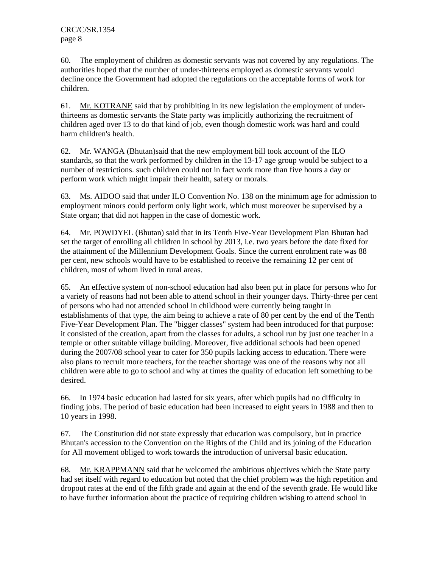60. The employment of children as domestic servants was not covered by any regulations. The authorities hoped that the number of under-thirteens employed as domestic servants would decline once the Government had adopted the regulations on the acceptable forms of work for children.

61. Mr. KOTRANE said that by prohibiting in its new legislation the employment of underthirteens as domestic servants the State party was implicitly authorizing the recruitment of children aged over 13 to do that kind of job, even though domestic work was hard and could harm children's health.

62. Mr. WANGA (Bhutan)said that the new employment bill took account of the ILO standards, so that the work performed by children in the 13-17 age group would be subject to a number of restrictions. such children could not in fact work more than five hours a day or perform work which might impair their health, safety or morals.

63. Ms. AIDOO said that under ILO Convention No. 138 on the minimum age for admission to employment minors could perform only light work, which must moreover be supervised by a State organ; that did not happen in the case of domestic work.

64. Mr. POWDYEL (Bhutan) said that in its Tenth Five-Year Development Plan Bhutan had set the target of enrolling all children in school by 2013, i.e. two years before the date fixed for the attainment of the Millennium Development Goals. Since the current enrolment rate was 88 per cent, new schools would have to be established to receive the remaining 12 per cent of children, most of whom lived in rural areas.

65. An effective system of non-school education had also been put in place for persons who for a variety of reasons had not been able to attend school in their younger days. Thirty-three per cent of persons who had not attended school in childhood were currently being taught in establishments of that type, the aim being to achieve a rate of 80 per cent by the end of the Tenth Five-Year Development Plan. The "bigger classes" system had been introduced for that purpose: it consisted of the creation, apart from the classes for adults, a school run by just one teacher in a temple or other suitable village building. Moreover, five additional schools had been opened during the 2007/08 school year to cater for 350 pupils lacking access to education. There were also plans to recruit more teachers, for the teacher shortage was one of the reasons why not all children were able to go to school and why at times the quality of education left something to be desired.

66. In 1974 basic education had lasted for six years, after which pupils had no difficulty in finding jobs. The period of basic education had been increased to eight years in 1988 and then to 10 years in 1998.

67. The Constitution did not state expressly that education was compulsory, but in practice Bhutan's accession to the Convention on the Rights of the Child and its joining of the Education for All movement obliged to work towards the introduction of universal basic education.

68. Mr. KRAPPMANN said that he welcomed the ambitious objectives which the State party had set itself with regard to education but noted that the chief problem was the high repetition and dropout rates at the end of the fifth grade and again at the end of the seventh grade. He would like to have further information about the practice of requiring children wishing to attend school in